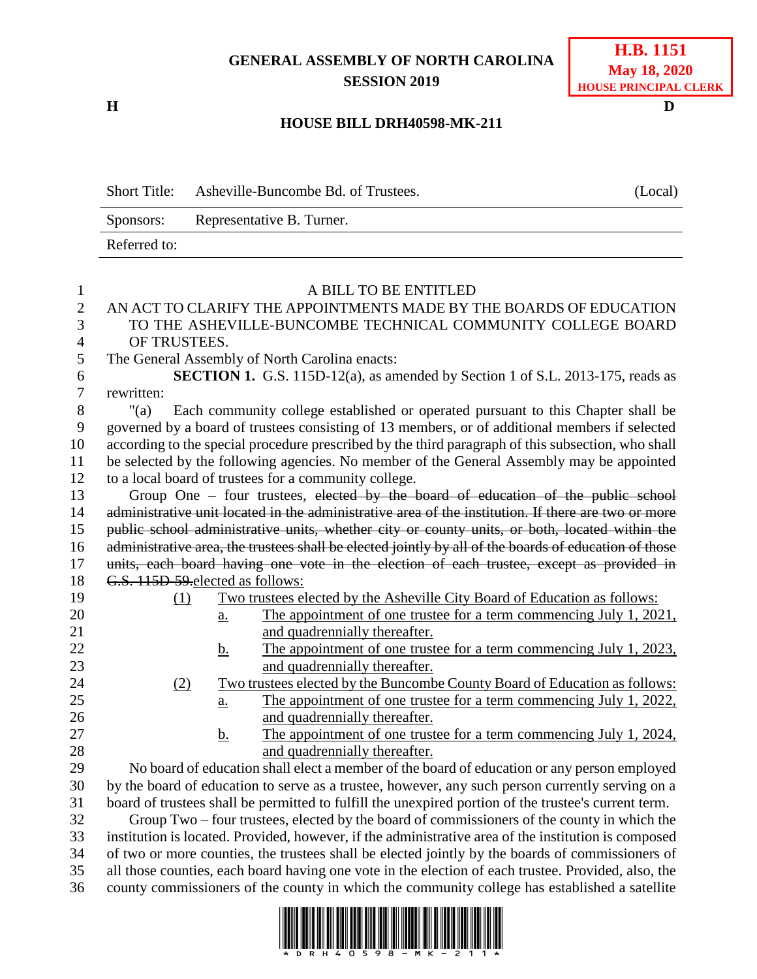## **GENERAL ASSEMBLY OF NORTH CAROLINA SESSION 2019**

**H D**

## **HOUSE BILL DRH40598-MK-211**

|                | <b>Short Title:</b><br>Asheville-Buncombe Bd. of Trustees.                                            |                                                                                                      |                                                                            | (Local) |  |
|----------------|-------------------------------------------------------------------------------------------------------|------------------------------------------------------------------------------------------------------|----------------------------------------------------------------------------|---------|--|
|                | Representative B. Turner.<br>Sponsors:                                                                |                                                                                                      |                                                                            |         |  |
|                | Referred to:                                                                                          |                                                                                                      |                                                                            |         |  |
|                |                                                                                                       |                                                                                                      |                                                                            |         |  |
| $\mathbf{1}$   | A BILL TO BE ENTITLED                                                                                 |                                                                                                      |                                                                            |         |  |
| $\overline{2}$ | AN ACT TO CLARIFY THE APPOINTMENTS MADE BY THE BOARDS OF EDUCATION                                    |                                                                                                      |                                                                            |         |  |
| 3              | TO THE ASHEVILLE-BUNCOMBE TECHNICAL COMMUNITY COLLEGE BOARD                                           |                                                                                                      |                                                                            |         |  |
| 4              | OF TRUSTEES.                                                                                          |                                                                                                      |                                                                            |         |  |
| 5              | The General Assembly of North Carolina enacts:                                                        |                                                                                                      |                                                                            |         |  |
| 6              | <b>SECTION 1.</b> G.S. 115D-12(a), as amended by Section 1 of S.L. 2013-175, reads as                 |                                                                                                      |                                                                            |         |  |
| 7              | rewritten:                                                                                            |                                                                                                      |                                                                            |         |  |
| 8              | Each community college established or operated pursuant to this Chapter shall be<br>" $(a)$           |                                                                                                      |                                                                            |         |  |
| 9              | governed by a board of trustees consisting of 13 members, or of additional members if selected        |                                                                                                      |                                                                            |         |  |
| 10             | according to the special procedure prescribed by the third paragraph of this subsection, who shall    |                                                                                                      |                                                                            |         |  |
| 11             | be selected by the following agencies. No member of the General Assembly may be appointed             |                                                                                                      |                                                                            |         |  |
| 12             | to a local board of trustees for a community college.                                                 |                                                                                                      |                                                                            |         |  |
| 13             | Group One - four trustees, elected by the board of education of the public school                     |                                                                                                      |                                                                            |         |  |
| 14             | administrative unit located in the administrative area of the institution. If there are two or more   |                                                                                                      |                                                                            |         |  |
| 15             | public school administrative units, whether city or county units, or both, located within the         |                                                                                                      |                                                                            |         |  |
| 16             | administrative area, the trustees shall be elected jointly by all of the boards of education of those |                                                                                                      |                                                                            |         |  |
| 17             | units, each board having one vote in the election of each trustee, except as provided in              |                                                                                                      |                                                                            |         |  |
| 18             | G.S. 115D-59-elected as follows:                                                                      |                                                                                                      |                                                                            |         |  |
| 19             | (1)                                                                                                   |                                                                                                      | Two trustees elected by the Asheville City Board of Education as follows:  |         |  |
| 20             |                                                                                                       | a.                                                                                                   | The appointment of one trustee for a term commencing July 1, 2021,         |         |  |
| 21             |                                                                                                       |                                                                                                      | and quadrennially thereafter.                                              |         |  |
| 22             |                                                                                                       | <u>b.</u>                                                                                            | The appointment of one trustee for a term commencing July 1, 2023,         |         |  |
| 23             | and quadrennially thereafter.                                                                         |                                                                                                      |                                                                            |         |  |
| 24             | (2)                                                                                                   |                                                                                                      | Two trustees elected by the Buncombe County Board of Education as follows: |         |  |
| 25             |                                                                                                       | a.                                                                                                   | The appointment of one trustee for a term commencing July 1, 2022,         |         |  |
| 26             |                                                                                                       |                                                                                                      | and quadrennially thereafter.                                              |         |  |
| 27             |                                                                                                       | <u>b.</u>                                                                                            | The appointment of one trustee for a term commencing July 1, 2024,         |         |  |
| 28             |                                                                                                       |                                                                                                      | and quadrennially thereafter.                                              |         |  |
| 29             | No board of education shall elect a member of the board of education or any person employed           |                                                                                                      |                                                                            |         |  |
| 30             | by the board of education to serve as a trustee, however, any such person currently serving on a      |                                                                                                      |                                                                            |         |  |
| 31             | board of trustees shall be permitted to fulfill the unexpired portion of the trustee's current term.  |                                                                                                      |                                                                            |         |  |
| 32             | Group Two – four trustees, elected by the board of commissioners of the county in which the           |                                                                                                      |                                                                            |         |  |
| 33             |                                                                                                       | institution is located. Provided, however, if the administrative area of the institution is composed |                                                                            |         |  |
| 34             | of two or more counties, the trustees shall be elected jointly by the boards of commissioners of      |                                                                                                      |                                                                            |         |  |
| 25             | all those counties, each board beying one yote in the election of each trustee. Provided also the     |                                                                                                      |                                                                            |         |  |

35 all those counties, each board having one vote in the election of each trustee. Provided, also, the 36 county commissioners of the county in which the community college has established a satellite